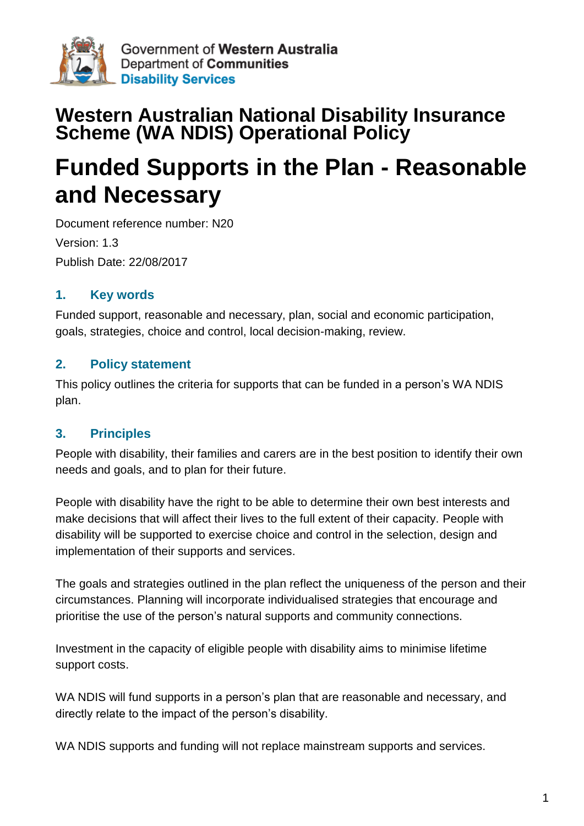

# **Western Australian National Disability Insurance Scheme (WA NDIS) Operational Policy**

# **Funded Supports in the Plan - Reasonable and Necessary**

Document reference number: N20 Version: 1.3 Publish Date: 22/08/2017

# **1. Key words**

Funded support, reasonable and necessary, plan, social and economic participation, goals, strategies, choice and control, local decision-making, review.

# **2. Policy statement**

This policy outlines the criteria for supports that can be funded in a person's WA NDIS plan.

#### **3. Principles**

People with disability, their families and carers are in the best position to identify their own needs and goals, and to plan for their future.

People with disability have the right to be able to determine their own best interests and make decisions that will affect their lives to the full extent of their capacity. People with disability will be supported to exercise choice and control in the selection, design and implementation of their supports and services.

The goals and strategies outlined in the plan reflect the uniqueness of the person and their circumstances. Planning will incorporate individualised strategies that encourage and prioritise the use of the person's natural supports and community connections.

Investment in the capacity of eligible people with disability aims to minimise lifetime support costs.

WA NDIS will fund supports in a person's plan that are reasonable and necessary, and directly relate to the impact of the person's disability.

WA NDIS supports and funding will not replace mainstream supports and services.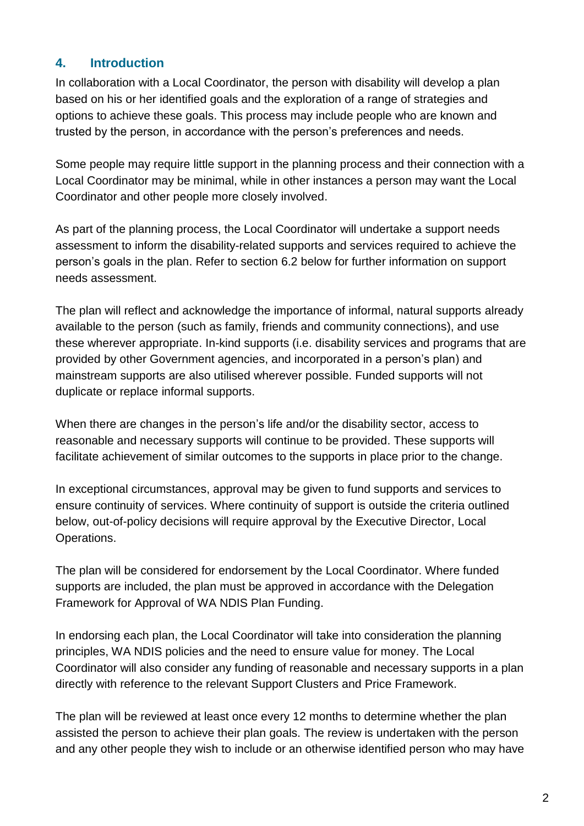# **4. Introduction**

In collaboration with a Local Coordinator, the person with disability will develop a plan based on his or her identified goals and the exploration of a range of strategies and options to achieve these goals. This process may include people who are known and trusted by the person, in accordance with the person's preferences and needs.

Some people may require little support in the planning process and their connection with a Local Coordinator may be minimal, while in other instances a person may want the Local Coordinator and other people more closely involved.

As part of the planning process, the Local Coordinator will undertake a support needs assessment to inform the disability-related supports and services required to achieve the person's goals in the plan. Refer to section 6.2 below for further information on support needs assessment.

The plan will reflect and acknowledge the importance of informal, natural supports already available to the person (such as family, friends and community connections), and use these wherever appropriate. In-kind supports (i.e. disability services and programs that are provided by other Government agencies, and incorporated in a person's plan) and mainstream supports are also utilised wherever possible. Funded supports will not duplicate or replace informal supports.

When there are changes in the person's life and/or the disability sector, access to reasonable and necessary supports will continue to be provided. These supports will facilitate achievement of similar outcomes to the supports in place prior to the change.

In exceptional circumstances, approval may be given to fund supports and services to ensure continuity of services. Where continuity of support is outside the criteria outlined below, out-of-policy decisions will require approval by the Executive Director, Local Operations.

The plan will be considered for endorsement by the Local Coordinator. Where funded supports are included, the plan must be approved in accordance with the Delegation Framework for Approval of WA NDIS Plan Funding.

In endorsing each plan, the Local Coordinator will take into consideration the planning principles, WA NDIS policies and the need to ensure value for money. The Local Coordinator will also consider any funding of reasonable and necessary supports in a plan directly with reference to the relevant Support Clusters and Price Framework.

The plan will be reviewed at least once every 12 months to determine whether the plan assisted the person to achieve their plan goals. The review is undertaken with the person and any other people they wish to include or an otherwise identified person who may have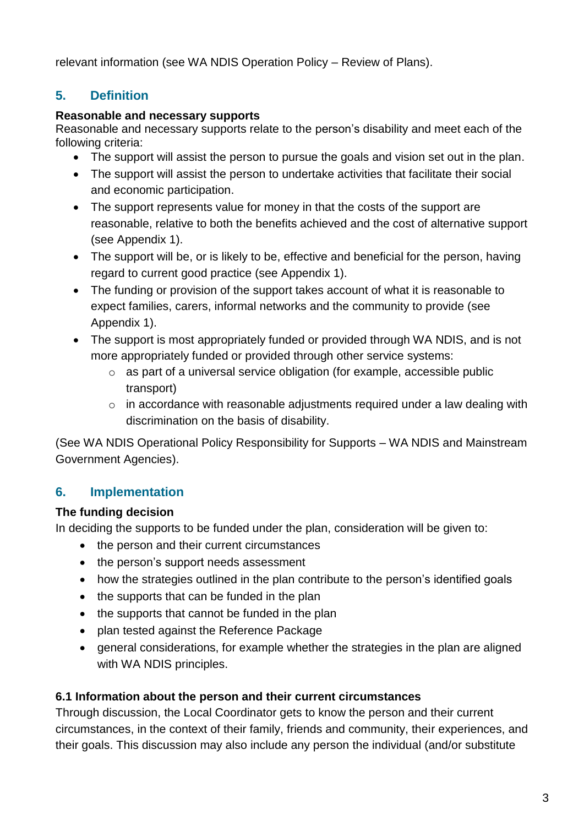relevant information (see WA NDIS Operation Policy – Review of Plans).

# **5. Definition**

#### **Reasonable and necessary supports**

Reasonable and necessary supports relate to the person's disability and meet each of the following criteria:

- The support will assist the person to pursue the goals and vision set out in the plan.
- The support will assist the person to undertake activities that facilitate their social and economic participation.
- The support represents value for money in that the costs of the support are reasonable, relative to both the benefits achieved and the cost of alternative support (see Appendix 1).
- The support will be, or is likely to be, effective and beneficial for the person, having regard to current good practice (see Appendix 1).
- The funding or provision of the support takes account of what it is reasonable to expect families, carers, informal networks and the community to provide (see Appendix 1).
- The support is most appropriately funded or provided through WA NDIS, and is not more appropriately funded or provided through other service systems:
	- o as part of a universal service obligation (for example, accessible public transport)
	- o in accordance with reasonable adjustments required under a law dealing with discrimination on the basis of disability.

(See WA NDIS Operational Policy Responsibility for Supports – WA NDIS and Mainstream Government Agencies).

# **6. Implementation**

# **The funding decision**

In deciding the supports to be funded under the plan, consideration will be given to:

- the person and their current circumstances
- the person's support needs assessment
- how the strategies outlined in the plan contribute to the person's identified goals
- the supports that can be funded in the plan
- the supports that cannot be funded in the plan
- plan tested against the Reference Package
- general considerations, for example whether the strategies in the plan are aligned with WA NDIS principles.

# **6.1 Information about the person and their current circumstances**

Through discussion, the Local Coordinator gets to know the person and their current circumstances, in the context of their family, friends and community, their experiences, and their goals. This discussion may also include any person the individual (and/or substitute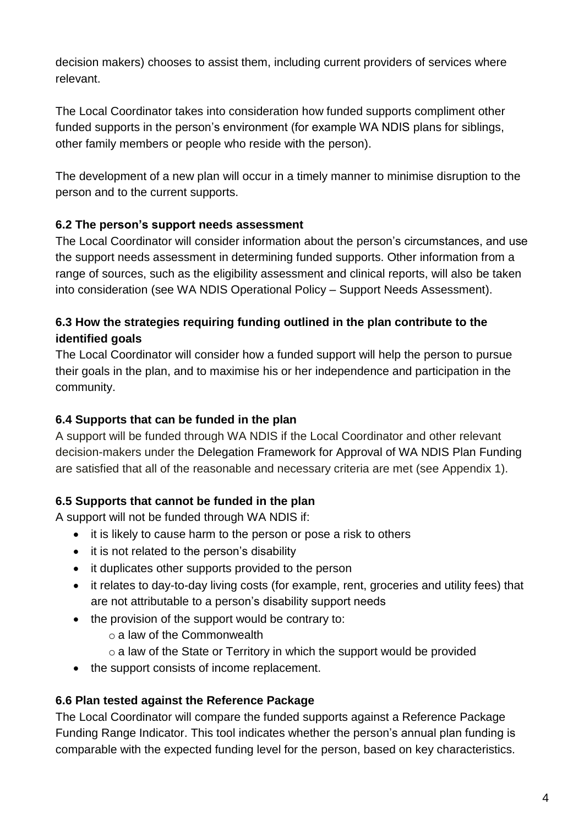decision makers) chooses to assist them, including current providers of services where relevant.

The Local Coordinator takes into consideration how funded supports compliment other funded supports in the person's environment (for example WA NDIS plans for siblings, other family members or people who reside with the person).

The development of a new plan will occur in a timely manner to minimise disruption to the person and to the current supports.

#### **6.2 The person's support needs assessment**

The Local Coordinator will consider information about the person's circumstances, and use the support needs assessment in determining funded supports. Other information from a range of sources, such as the eligibility assessment and clinical reports, will also be taken into consideration (see WA NDIS Operational Policy – Support Needs Assessment).

#### **6.3 How the strategies requiring funding outlined in the plan contribute to the identified goals**

The Local Coordinator will consider how a funded support will help the person to pursue their goals in the plan, and to maximise his or her independence and participation in the community.

#### **6.4 Supports that can be funded in the plan**

A support will be funded through WA NDIS if the Local Coordinator and other relevant decision-makers under the Delegation Framework for Approval of WA NDIS Plan Funding are satisfied that all of the reasonable and necessary criteria are met (see Appendix 1).

# **6.5 Supports that cannot be funded in the plan**

A support will not be funded through WA NDIS if:

- it is likely to cause harm to the person or pose a risk to others
- it is not related to the person's disability
- it duplicates other supports provided to the person
- it relates to day-to-day living costs (for example, rent, groceries and utility fees) that are not attributable to a person's disability support needs
- the provision of the support would be contrary to:
	- o a law of the Commonwealth
	- $\circ$  a law of the State or Territory in which the support would be provided
- the support consists of income replacement.

#### **6.6 Plan tested against the Reference Package**

The Local Coordinator will compare the funded supports against a Reference Package Funding Range Indicator. This tool indicates whether the person's annual plan funding is comparable with the expected funding level for the person, based on key characteristics.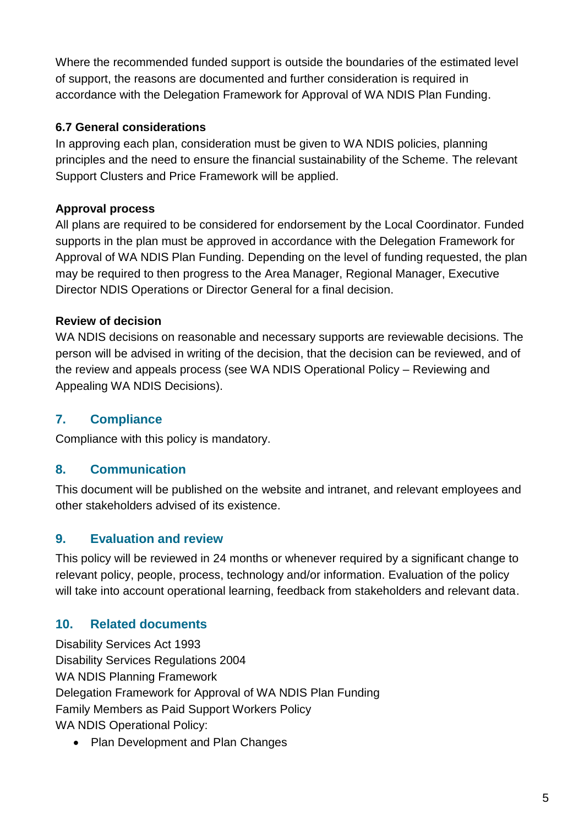Where the recommended funded support is outside the boundaries of the estimated level of support, the reasons are documented and further consideration is required in accordance with the Delegation Framework for Approval of WA NDIS Plan Funding.

#### **6.7 General considerations**

In approving each plan, consideration must be given to WA NDIS policies, planning principles and the need to ensure the financial sustainability of the Scheme. The relevant Support Clusters and Price Framework will be applied.

#### **Approval process**

All plans are required to be considered for endorsement by the Local Coordinator. Funded supports in the plan must be approved in accordance with the Delegation Framework for Approval of WA NDIS Plan Funding. Depending on the level of funding requested, the plan may be required to then progress to the Area Manager, Regional Manager, Executive Director NDIS Operations or Director General for a final decision.

#### **Review of decision**

WA NDIS decisions on reasonable and necessary supports are reviewable decisions. The person will be advised in writing of the decision, that the decision can be reviewed, and of the review and appeals process (see WA NDIS Operational Policy – Reviewing and Appealing WA NDIS Decisions).

# **7. Compliance**

Compliance with this policy is mandatory.

# **8. Communication**

This document will be published on the website and intranet, and relevant employees and other stakeholders advised of its existence.

# **9. Evaluation and review**

This policy will be reviewed in 24 months or whenever required by a significant change to relevant policy, people, process, technology and/or information. Evaluation of the policy will take into account operational learning, feedback from stakeholders and relevant data.

# **10. Related documents**

Disability Services Act 1993 Disability Services Regulations 2004 WA NDIS Planning Framework Delegation Framework for Approval of WA NDIS Plan Funding Family Members as Paid Support Workers Policy WA NDIS Operational Policy:

• Plan Development and Plan Changes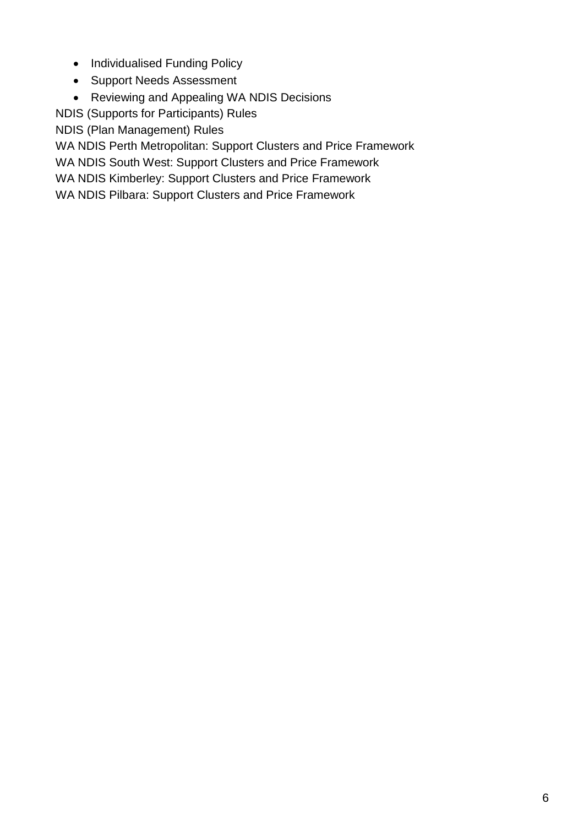- Individualised Funding Policy
- Support Needs Assessment
- Reviewing and Appealing WA NDIS Decisions

NDIS [\(Supports for Participants\) Rules](http://www.comlaw.gov.au/Current/F2013L01063) 

[NDIS \(Plan Management\) Rules](http://www.comlaw.gov.au/Current/F2013L01064) 

WA NDIS Perth Metropolitan: Support Clusters and Price Framework

WA NDIS South West: Support Clusters and Price Framework

WA NDIS Kimberley: Support Clusters and Price Framework

WA NDIS Pilbara: Support Clusters and Price Framework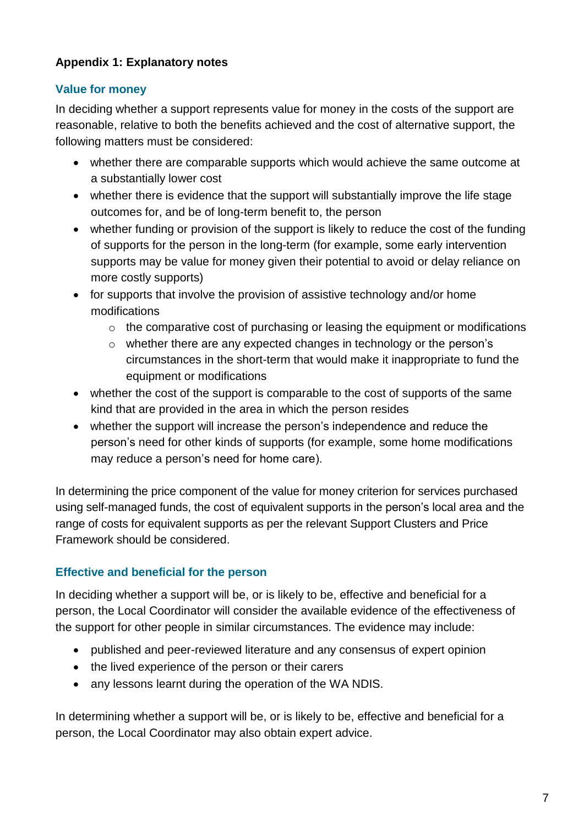#### **Appendix 1: Explanatory notes**

#### **Value for money**

In deciding whether a support represents value for money in the costs of the support are reasonable, relative to both the benefits achieved and the cost of alternative support, the following matters must be considered:

- whether there are comparable supports which would achieve the same outcome at a substantially lower cost
- whether there is evidence that the support will substantially improve the life stage outcomes for, and be of long-term benefit to, the person
- whether funding or provision of the support is likely to reduce the cost of the funding of supports for the person in the long-term (for example, some early intervention supports may be value for money given their potential to avoid or delay reliance on more costly supports)
- for supports that involve the provision of assistive technology and/or home modifications
	- $\circ$  the comparative cost of purchasing or leasing the equipment or modifications
	- o whether there are any expected changes in technology or the person's circumstances in the short-term that would make it inappropriate to fund the equipment or modifications
- whether the cost of the support is comparable to the cost of supports of the same kind that are provided in the area in which the person resides
- whether the support will increase the person's independence and reduce the person's need for other kinds of supports (for example, some home modifications may reduce a person's need for home care).

In determining the price component of the value for money criterion for services purchased using self-managed funds, the cost of equivalent supports in the person's local area and the range of costs for equivalent supports as per the relevant Support Clusters and Price Framework should be considered.

#### **Effective and beneficial for the person**

In deciding whether a support will be, or is likely to be, effective and beneficial for a person, the Local Coordinator will consider the available evidence of the effectiveness of the support for other people in similar circumstances. The evidence may include:

- published and peer-reviewed literature and any consensus of expert opinion
- the lived experience of the person or their carers
- any lessons learnt during the operation of the WA NDIS.

In determining whether a support will be, or is likely to be, effective and beneficial for a person, the Local Coordinator may also obtain expert advice.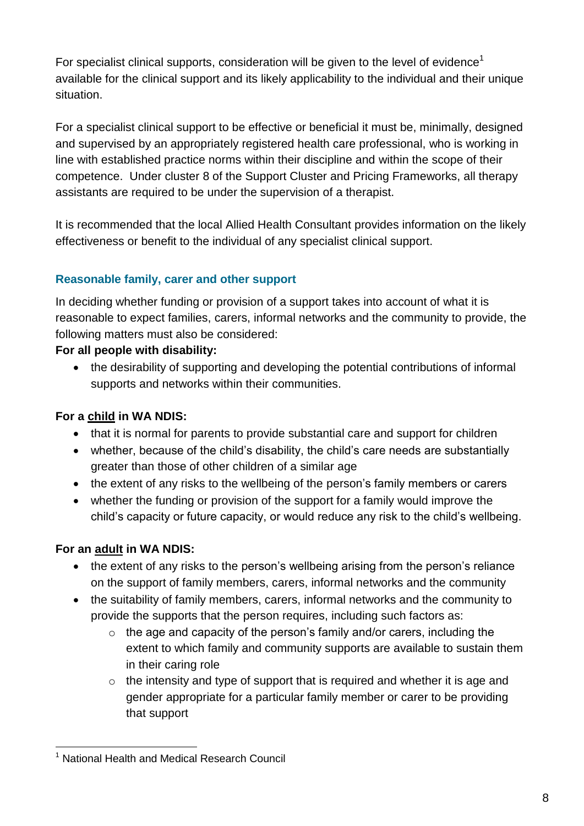For specialist clinical supports, consideration will be given to the level of evidence<sup>1</sup> available for the clinical support and its likely applicability to the individual and their unique situation.

For a specialist clinical support to be effective or beneficial it must be, minimally, designed and supervised by an appropriately registered health care professional, who is working in line with established practice norms within their discipline and within the scope of their competence. Under cluster 8 of the Support Cluster and Pricing Frameworks, all therapy assistants are required to be under the supervision of a therapist.

It is recommended that the local Allied Health Consultant provides information on the likely effectiveness or benefit to the individual of any specialist clinical support.

#### **Reasonable family, carer and other support**

In deciding whether funding or provision of a support takes into account of what it is reasonable to expect families, carers, informal networks and the community to provide, the following matters must also be considered:

#### **For all people with disability:**

• the desirability of supporting and developing the potential contributions of informal supports and networks within their communities.

#### **For a child in WA NDIS:**

- that it is normal for parents to provide substantial care and support for children
- whether, because of the child's disability, the child's care needs are substantially greater than those of other children of a similar age
- the extent of any risks to the wellbeing of the person's family members or carers
- whether the funding or provision of the support for a family would improve the child's capacity or future capacity, or would reduce any risk to the child's wellbeing.

# **For an adult in WA NDIS:**

- the extent of any risks to the person's wellbeing arising from the person's reliance on the support of family members, carers, informal networks and the community
- the suitability of family members, carers, informal networks and the community to provide the supports that the person requires, including such factors as:
	- $\circ$  the age and capacity of the person's family and/or carers, including the extent to which family and community supports are available to sustain them in their caring role
	- $\circ$  the intensity and type of support that is required and whether it is age and gender appropriate for a particular family member or carer to be providing that support

 $\overline{\phantom{a}}$ <sup>1</sup> National Health and Medical Research Council